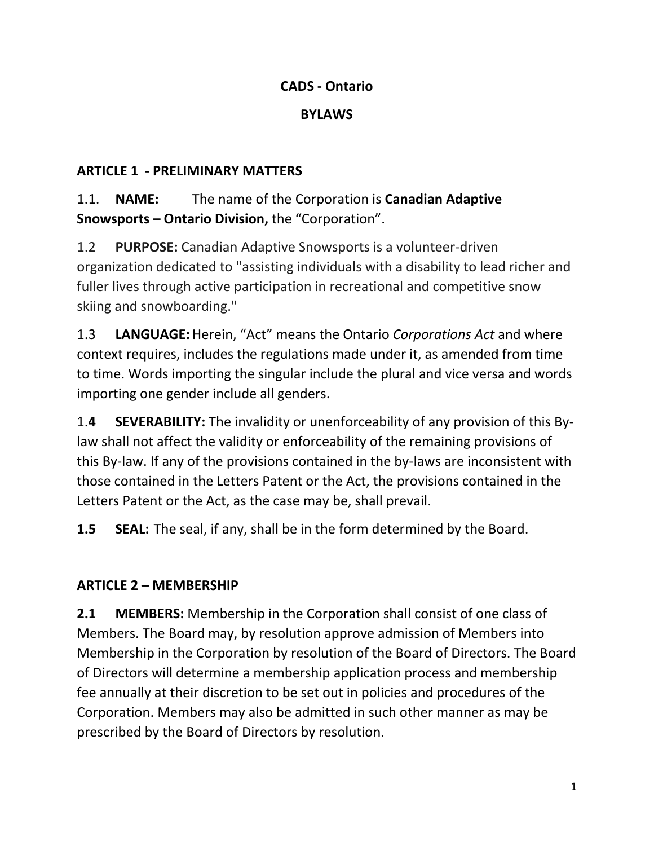### **CADS - Ontario**

#### **BYLAWS**

### **ARTICLE 1 - PRELIMINARY MATTERS**

1.1. **NAME:** The name of the Corporation is **Canadian Adaptive Snowsports – Ontario Division,** the "Corporation".

1.2 **PURPOSE:** Canadian Adaptive Snowsports is a volunteer-driven organization dedicated to "assisting individuals with a disability to lead richer and fuller lives through active participation in recreational and competitive snow skiing and snowboarding."

1.3 **LANGUAGE:**Herein, "Act" means the Ontario *Corporations Act* and where context requires, includes the regulations made under it, as amended from time to time. Words importing the singular include the plural and vice versa and words importing one gender include all genders.

1.**4 SEVERABILITY:** The invalidity or unenforceability of any provision of this Bylaw shall not affect the validity or enforceability of the remaining provisions of this By-law. If any of the provisions contained in the by-laws are inconsistent with those contained in the Letters Patent or the Act, the provisions contained in the Letters Patent or the Act, as the case may be, shall prevail.

**1.5 SEAL:** The seal, if any, shall be in the form determined by the Board.

## **ARTICLE 2 – MEMBERSHIP**

**2.1 MEMBERS:** Membership in the Corporation shall consist of one class of Members. The Board may, by resolution approve admission of Members into Membership in the Corporation by resolution of the Board of Directors. The Board of Directors will determine a membership application process and membership fee annually at their discretion to be set out in policies and procedures of the Corporation. Members may also be admitted in such other manner as may be prescribed by the Board of Directors by resolution.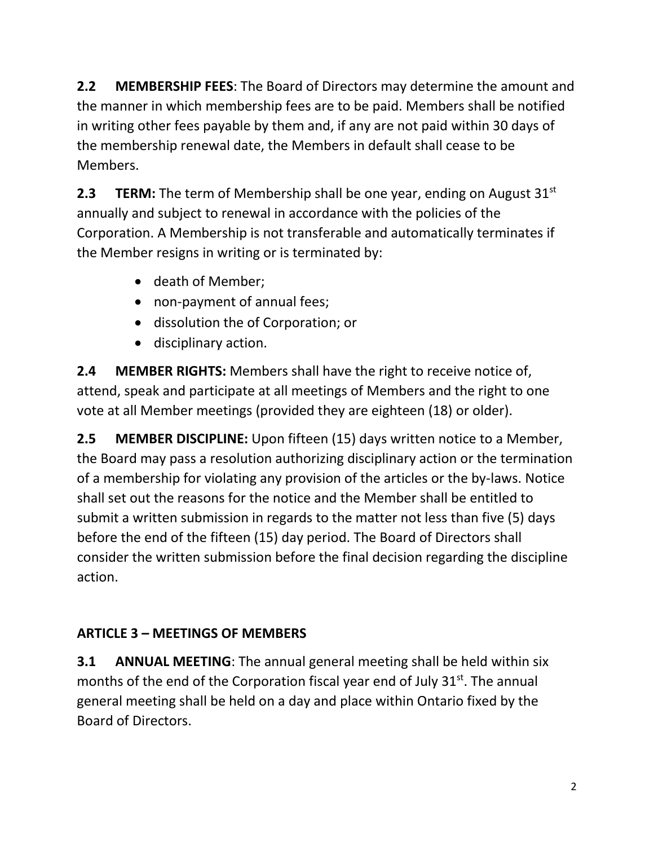**2.2 MEMBERSHIP FEES**: The Board of Directors may determine the amount and the manner in which membership fees are to be paid. Members shall be notified in writing other fees payable by them and, if any are not paid within 30 days of the membership renewal date, the Members in default shall cease to be Members.

**2.3 TERM:** The term of Membership shall be one year, ending on August 31<sup>st</sup> annually and subject to renewal in accordance with the policies of the Corporation. A Membership is not transferable and automatically terminates if the Member resigns in writing or is terminated by:

- death of Member;
- non-payment of annual fees;
- dissolution the of Corporation; or
- disciplinary action.

**2.4 MEMBER RIGHTS:** Members shall have the right to receive notice of, attend, speak and participate at all meetings of Members and the right to one vote at all Member meetings (provided they are eighteen (18) or older).

**2.5 MEMBER DISCIPLINE:** Upon fifteen (15) days written notice to a Member, the Board may pass a resolution authorizing disciplinary action or the termination of a membership for violating any provision of the articles or the by-laws. Notice shall set out the reasons for the notice and the Member shall be entitled to submit a written submission in regards to the matter not less than five (5) days before the end of the fifteen (15) day period. The Board of Directors shall consider the written submission before the final decision regarding the discipline action.

# **ARTICLE 3 – MEETINGS OF MEMBERS**

**3.1 ANNUAL MEETING**: The annual general meeting shall be held within six months of the end of the Corporation fiscal year end of July  $31<sup>st</sup>$ . The annual general meeting shall be held on a day and place within Ontario fixed by the Board of Directors.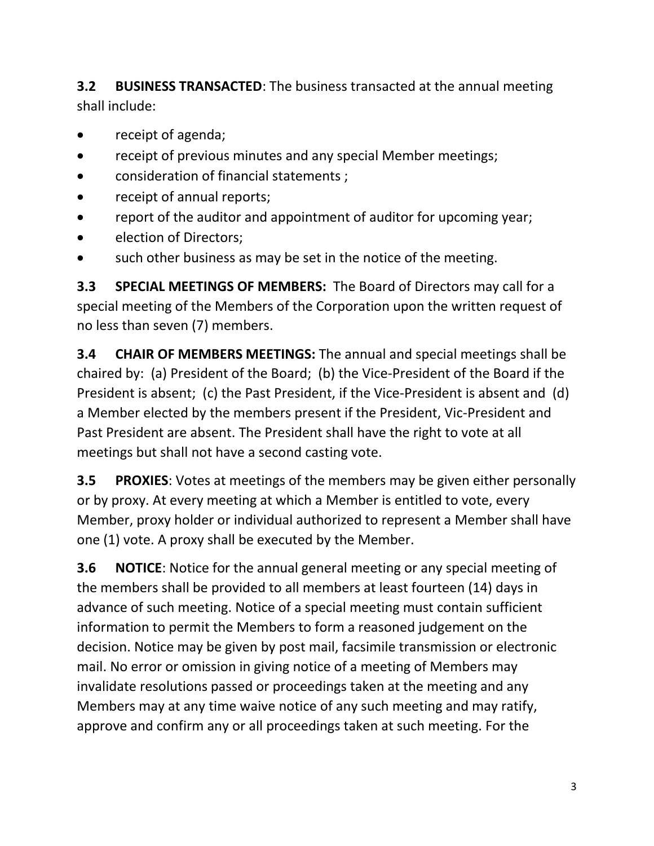**3.2 BUSINESS TRANSACTED**: The business transacted at the annual meeting shall include:

- receipt of agenda;
- receipt of previous minutes and any special Member meetings;
- consideration of financial statements ;
- receipt of annual reports;
- report of the auditor and appointment of auditor for upcoming year;
- election of Directors;
- such other business as may be set in the notice of the meeting.

**3.3 SPECIAL MEETINGS OF MEMBERS:** The Board of Directors may call for a special meeting of the Members of the Corporation upon the written request of no less than seven (7) members.

**3.4 CHAIR OF MEMBERS MEETINGS:** The annual and special meetings shall be chaired by: (a) President of the Board; (b) the Vice-President of the Board if the President is absent; (c) the Past President, if the Vice-President is absent and (d) a Member elected by the members present if the President, Vic-President and Past President are absent. The President shall have the right to vote at all meetings but shall not have a second casting vote.

**3.5 PROXIES**: Votes at meetings of the members may be given either personally or by proxy. At every meeting at which a Member is entitled to vote, every Member, proxy holder or individual authorized to represent a Member shall have one (1) vote. A proxy shall be executed by the Member.

**3.6 NOTICE**: Notice for the annual general meeting or any special meeting of the members shall be provided to all members at least fourteen (14) days in advance of such meeting. Notice of a special meeting must contain sufficient information to permit the Members to form a reasoned judgement on the decision. Notice may be given by post mail, facsimile transmission or electronic mail. No error or omission in giving notice of a meeting of Members may invalidate resolutions passed or proceedings taken at the meeting and any Members may at any time waive notice of any such meeting and may ratify, approve and confirm any or all proceedings taken at such meeting. For the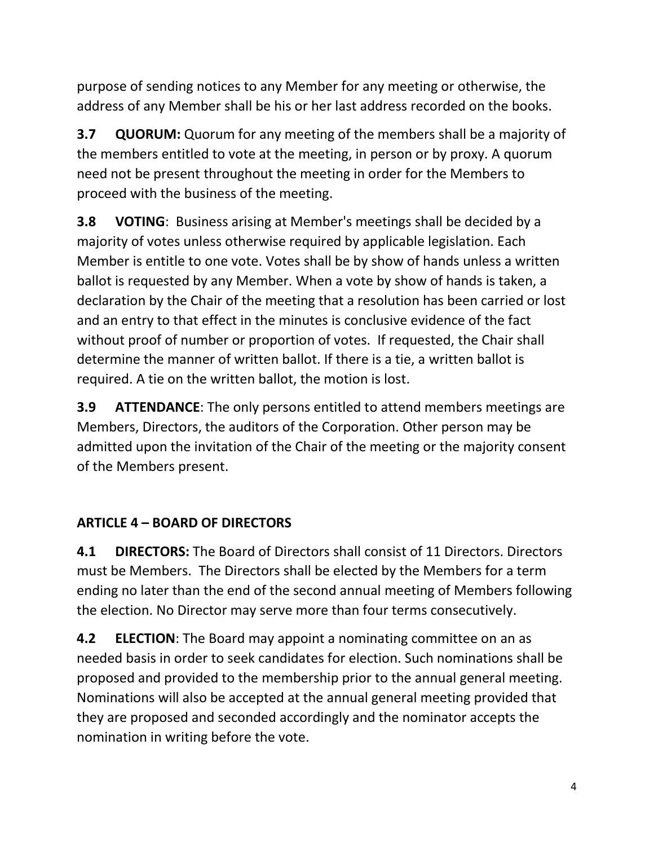purpose of sending notices to any Member for any meeting or otherwise, the address of any Member shall be his or her last address recorded on the books.

**3.7 QUORUM:** Quorum for any meeting of the members shall be a majority of the members entitled to vote at the meeting, in person or by proxy. A quorum need not be present throughout the meeting in order for the Members to proceed with the business of the meeting.

**3.8 VOTING:** Business arising at Member's meetings shall be decided by a majority of votes unless otherwise required by applicable legislation. Each Member is entitle to one vote. Votes shall be by show of hands unless a written ballot is requested by any Member. When a vote by show of hands is taken, a declaration by the Chair of the meeting that a resolution has been carried or lost and an entry to that effect in the minutes is conclusive evidence of the fact without proof of number or proportion of votes. If requested, the Chair shall determine the manner of written ballot. If there is a tie, a written ballot is required. A tie on the written ballot, the motion is lost.

**3.9 ATTENDANCE**: The only persons entitled to attend members meetings are Members, Directors, the auditors of the Corporation. Other person may be admitted upon the invitation of the Chair of the meeting or the majority consent of the Members present.

## **ARTICLE 4 – BOARD OF DIRECTORS**

**4.1 DIRECTORS:** The Board of Directors shall consist of 11 Directors. Directors must be Members. The Directors shall be elected by the Members for a term ending no later than the end of the second annual meeting of Members following the election. No Director may serve more than four terms consecutively.

**4.2 ELECTION**: The Board may appoint a nominating committee on an as needed basis in order to seek candidates for election. Such nominations shall be proposed and provided to the membership prior to the annual general meeting. Nominations will also be accepted at the annual general meeting provided that they are proposed and seconded accordingly and the nominator accepts the nomination in writing before the vote.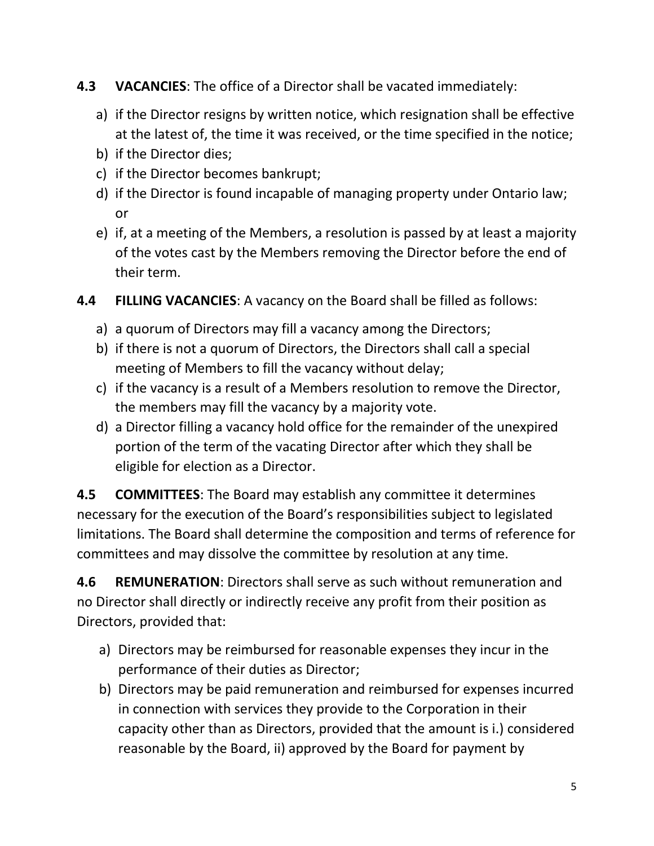- **4.3 VACANCIES**: The office of a Director shall be vacated immediately:
	- a) if the Director resigns by written notice, which resignation shall be effective at the latest of, the time it was received, or the time specified in the notice;
	- b) if the Director dies;
	- c) if the Director becomes bankrupt;
	- d) if the Director is found incapable of managing property under Ontario law; or
	- e) if, at a meeting of the Members, a resolution is passed by at least a majority of the votes cast by the Members removing the Director before the end of their term.
- **4.4 FILLING VACANCIES**: A vacancy on the Board shall be filled as follows:
	- a) a quorum of Directors may fill a vacancy among the Directors;
	- b) if there is not a quorum of Directors, the Directors shall call a special meeting of Members to fill the vacancy without delay;
	- c) if the vacancy is a result of a Members resolution to remove the Director, the members may fill the vacancy by a majority vote.
	- d) a Director filling a vacancy hold office for the remainder of the unexpired portion of the term of the vacating Director after which they shall be eligible for election as a Director.

**4.5 COMMITTEES**: The Board may establish any committee it determines necessary for the execution of the Board's responsibilities subject to legislated limitations. The Board shall determine the composition and terms of reference for committees and may dissolve the committee by resolution at any time.

**4.6 REMUNERATION**: Directors shall serve as such without remuneration and no Director shall directly or indirectly receive any profit from their position as Directors, provided that:

- a) Directors may be reimbursed for reasonable expenses they incur in the performance of their duties as Director;
- b) Directors may be paid remuneration and reimbursed for expenses incurred in connection with services they provide to the Corporation in their capacity other than as Directors, provided that the amount is i.) considered reasonable by the Board, ii) approved by the Board for payment by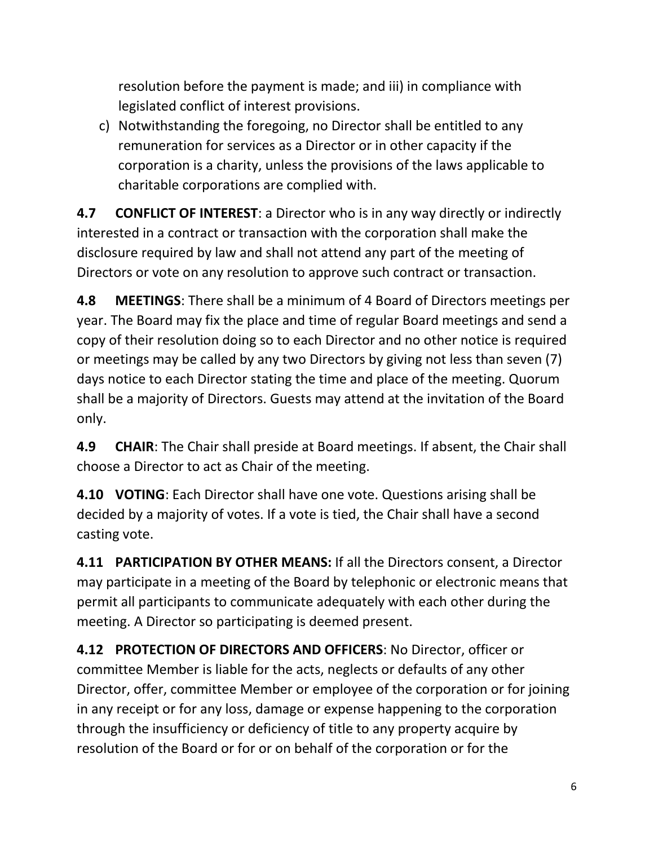resolution before the payment is made; and iii) in compliance with legislated conflict of interest provisions.

c) Notwithstanding the foregoing, no Director shall be entitled to any remuneration for services as a Director or in other capacity if the corporation is a charity, unless the provisions of the laws applicable to charitable corporations are complied with.

**4.7 CONFLICT OF INTEREST**: a Director who is in any way directly or indirectly interested in a contract or transaction with the corporation shall make the disclosure required by law and shall not attend any part of the meeting of Directors or vote on any resolution to approve such contract or transaction.

**4.8 MEETINGS**: There shall be a minimum of 4 Board of Directors meetings per year. The Board may fix the place and time of regular Board meetings and send a copy of their resolution doing so to each Director and no other notice is required or meetings may be called by any two Directors by giving not less than seven (7) days notice to each Director stating the time and place of the meeting. Quorum shall be a majority of Directors. Guests may attend at the invitation of the Board only.

**4.9 CHAIR**: The Chair shall preside at Board meetings. If absent, the Chair shall choose a Director to act as Chair of the meeting.

**4.10 VOTING**: Each Director shall have one vote. Questions arising shall be decided by a majority of votes. If a vote is tied, the Chair shall have a second casting vote.

**4.11 PARTICIPATION BY OTHER MEANS:** If all the Directors consent, a Director may participate in a meeting of the Board by telephonic or electronic means that permit all participants to communicate adequately with each other during the meeting. A Director so participating is deemed present.

**4.12 PROTECTION OF DIRECTORS AND OFFICERS**: No Director, officer or committee Member is liable for the acts, neglects or defaults of any other Director, offer, committee Member or employee of the corporation or for joining in any receipt or for any loss, damage or expense happening to the corporation through the insufficiency or deficiency of title to any property acquire by resolution of the Board or for or on behalf of the corporation or for the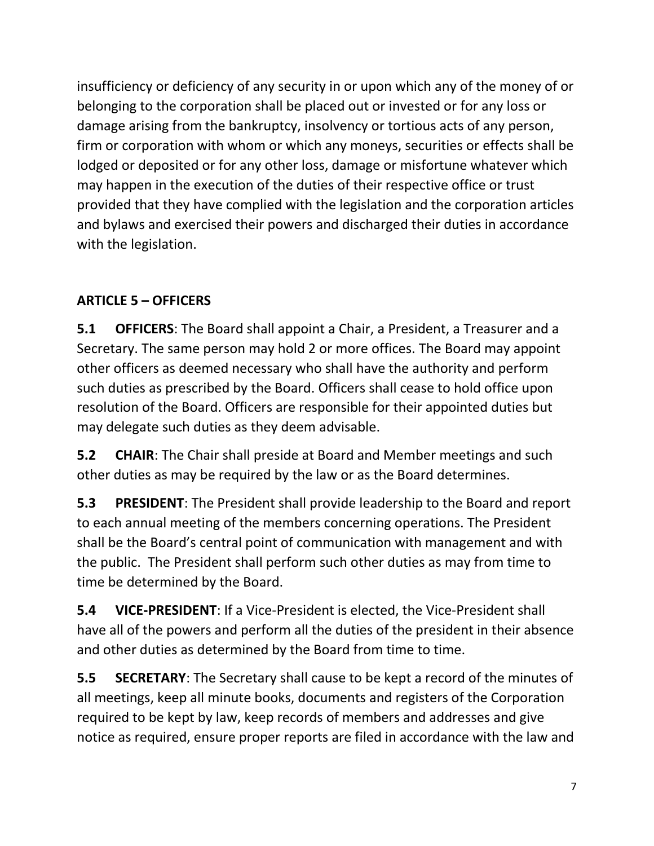insufficiency or deficiency of any security in or upon which any of the money of or belonging to the corporation shall be placed out or invested or for any loss or damage arising from the bankruptcy, insolvency or tortious acts of any person, firm or corporation with whom or which any moneys, securities or effects shall be lodged or deposited or for any other loss, damage or misfortune whatever which may happen in the execution of the duties of their respective office or trust provided that they have complied with the legislation and the corporation articles and bylaws and exercised their powers and discharged their duties in accordance with the legislation.

## **ARTICLE 5 – OFFICERS**

**5.1 OFFICERS**: The Board shall appoint a Chair, a President, a Treasurer and a Secretary. The same person may hold 2 or more offices. The Board may appoint other officers as deemed necessary who shall have the authority and perform such duties as prescribed by the Board. Officers shall cease to hold office upon resolution of the Board. Officers are responsible for their appointed duties but may delegate such duties as they deem advisable.

**5.2 CHAIR**: The Chair shall preside at Board and Member meetings and such other duties as may be required by the law or as the Board determines.

**5.3 PRESIDENT**: The President shall provide leadership to the Board and report to each annual meeting of the members concerning operations. The President shall be the Board's central point of communication with management and with the public. The President shall perform such other duties as may from time to time be determined by the Board.

**5.4 VICE-PRESIDENT**: If a Vice-President is elected, the Vice-President shall have all of the powers and perform all the duties of the president in their absence and other duties as determined by the Board from time to time.

**5.5 SECRETARY**: The Secretary shall cause to be kept a record of the minutes of all meetings, keep all minute books, documents and registers of the Corporation required to be kept by law, keep records of members and addresses and give notice as required, ensure proper reports are filed in accordance with the law and